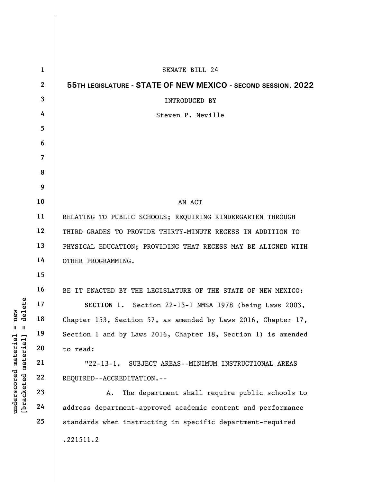|                                                | $\mathbf{1}$   | SENATE BILL 24                                                |
|------------------------------------------------|----------------|---------------------------------------------------------------|
|                                                | $\mathbf{2}$   | 55TH LEGISLATURE - STATE OF NEW MEXICO - SECOND SESSION, 2022 |
|                                                | $\overline{3}$ | INTRODUCED BY                                                 |
|                                                | 4              | Steven P. Neville                                             |
|                                                | 5              |                                                               |
|                                                | 6              |                                                               |
|                                                | $\overline{7}$ |                                                               |
|                                                | 8              |                                                               |
|                                                | 9              |                                                               |
|                                                | 10             | AN ACT                                                        |
|                                                | 11             | RELATING TO PUBLIC SCHOOLS; REQUIRING KINDERGARTEN THROUGH    |
|                                                | 12             | THIRD GRADES TO PROVIDE THIRTY-MINUTE RECESS IN ADDITION TO   |
|                                                | 13             | PHYSICAL EDUCATION; PROVIDING THAT RECESS MAY BE ALIGNED WITH |
|                                                | 14             | OTHER PROGRAMMING.                                            |
|                                                | 15             |                                                               |
|                                                | 16             | BE IT ENACTED BY THE LEGISLATURE OF THE STATE OF NEW MEXICO:  |
| delete                                         | 17             | SECTION 1. Section 22-13-1 NMSA 1978 (being Laws 2003,        |
| nev                                            | 18             | Chapter 153, Section 57, as amended by Laws 2016, Chapter 17, |
| Ш<br>Ш                                         | 19             | Section 1 and by Laws 2016, Chapter 18, Section 1) is amended |
| $\mathtt{materia}$                             | 20             | to read:                                                      |
|                                                | 21             | $"22-13-1.$<br>SUBJECT AREAS--MINIMUM INSTRUCTIONAL AREAS     |
|                                                | 22             | REQUIRED--ACCREDITATION.--                                    |
| [bracketed material<br>$\bm{{\rm underscore}}$ | 23             | The department shall require public schools to<br>A.          |
|                                                | 24             | address department-approved academic content and performance  |
|                                                | 25             | standards when instructing in specific department-required    |
|                                                |                | .221511.2                                                     |
|                                                |                |                                                               |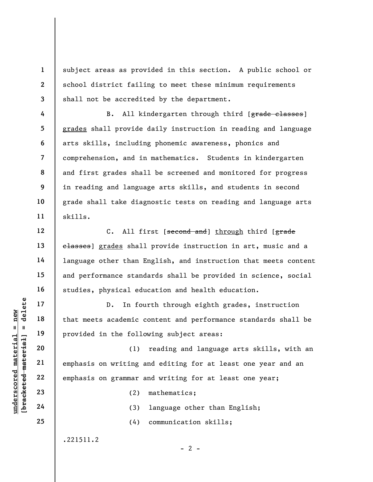subject areas as provided in this section. A public school or school district failing to meet these minimum requirements shall not be accredited by the department.

B. All kindergarten through third [grade classes] grades shall provide daily instruction in reading and language arts skills, including phonemic awareness, phonics and comprehension, and in mathematics. Students in kindergarten and first grades shall be screened and monitored for progress in reading and language arts skills, and students in second grade shall take diagnostic tests on reading and language arts skills.

C. All first [second and] through third [grade classes] grades shall provide instruction in art, music and a language other than English, and instruction that meets content and performance standards shall be provided in science, social studies, physical education and health education.

D. In fourth through eighth grades, instruction that meets academic content and performance standards shall be provided in the following subject areas:

understanden in the following and that meets academic corrected material corrections and that meets academic corrected material provided in the following a<br>deleterated material emphasis on writing a<br>deleterated 22 emphasis (1) reading and language arts skills, with an emphasis on writing and editing for at least one year and an emphasis on grammar and writing for at least one year;

(2) mathematics;

(3) language other than English;

 $- 2 -$ 

(4) communication skills;

.221511.2

23

24

25

1

2

3

4

5

6

7

8

9

10

11

12

13

14

15

16

17

18

19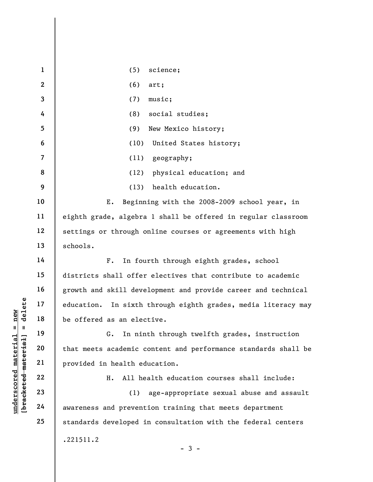|                                             | $\mathbf{1}$            | (5)<br>science;                                                  |
|---------------------------------------------|-------------------------|------------------------------------------------------------------|
|                                             | $\mathbf{2}$            | (6)<br>art;                                                      |
|                                             | $\overline{\mathbf{3}}$ | music;<br>(7)                                                    |
|                                             | 4                       | social studies;<br>(8)                                           |
|                                             | $5\phantom{.0}$         | (9)<br>New Mexico history;                                       |
|                                             | 6                       | (10)<br>United States history;                                   |
|                                             | $\overline{7}$          | (11)<br>geography;                                               |
|                                             | 8                       | physical education; and<br>(12)                                  |
|                                             | 9                       | health education.<br>(13)                                        |
|                                             | 10                      | Beginning with the 2008-2009 school year, in<br>Ε.               |
|                                             | 11                      | eighth grade, algebra 1 shall be offered in regular classroom    |
|                                             | 12                      | settings or through online courses or agreements with high       |
|                                             | 13                      | schools.                                                         |
|                                             | 14                      | In fourth through eighth grades, school<br>$F$ .                 |
|                                             | 15                      | districts shall offer electives that contribute to academic      |
|                                             | 16                      | growth and skill development and provide career and technical    |
| delete                                      | 17                      | education.<br>In sixth through eighth grades, media literacy may |
| new                                         | 18                      | be offered as an elective.                                       |
| 11<br>Ш                                     | 19                      | In ninth through twelfth grades, instruction<br>G.               |
|                                             | 20                      | that meets academic content and performance standards shall be   |
|                                             | 21                      | provided in health education.                                    |
|                                             | 22                      | All health education courses shall include:<br>Η.                |
|                                             | 23                      | age-appropriate sexual abuse and assault<br>(1)                  |
| underscored material<br>[bracketed material | 24                      | awareness and prevention training that meets department          |
|                                             | 25                      | standards developed in consultation with the federal centers     |
|                                             |                         | .221511.2<br>-3 -                                                |
|                                             |                         |                                                                  |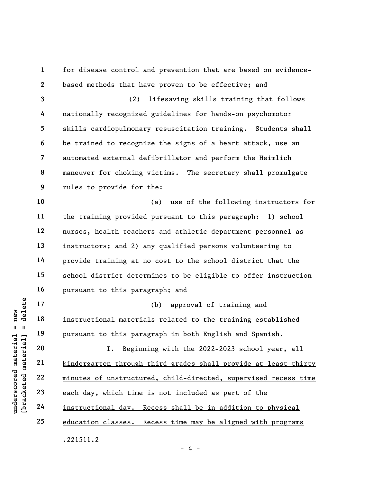underscored material = new [bracketed material] = delete 1 2 3 4 5 6 7 8 9 10 11 12 13 14 15 16 17 18 19 20 21 22 23 24 25 for disease control and prevention that are based on evidencebased methods that have proven to be effective; and (2) lifesaving skills training that follows nationally recognized guidelines for hands-on psychomotor skills cardiopulmonary resuscitation training. Students shall be trained to recognize the signs of a heart attack, use an automated external defibrillator and perform the Heimlich maneuver for choking victims. The secretary shall promulgate rules to provide for the: (a) use of the following instructors for the training provided pursuant to this paragraph: 1) school nurses, health teachers and athletic department personnel as instructors; and 2) any qualified persons volunteering to provide training at no cost to the school district that the school district determines to be eligible to offer instruction pursuant to this paragraph; and (b) approval of training and instructional materials related to the training established pursuant to this paragraph in both English and Spanish. I. Beginning with the 2022-2023 school year, all kindergarten through third grades shall provide at least thirty minutes of unstructured, child-directed, supervised recess time each day, which time is not included as part of the instructional day. Recess shall be in addition to physical education classes. Recess time may be aligned with programs .221511.2

- 4 -